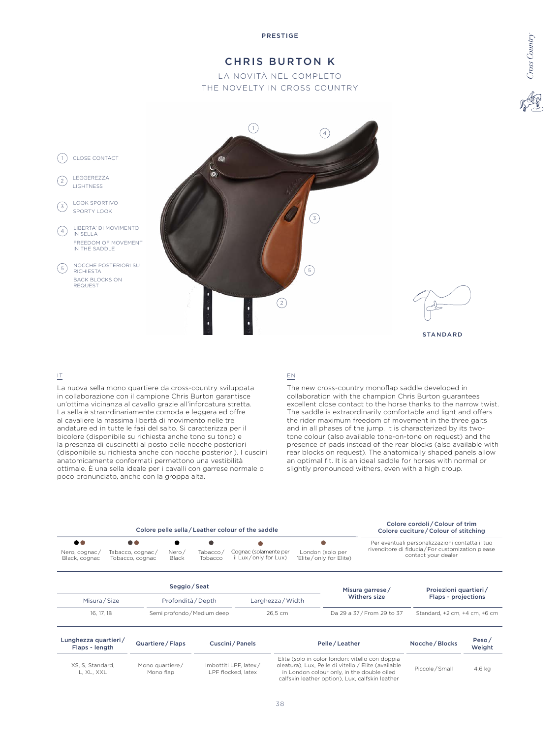# CHRIS BURTON K

LA NOVITÀ NEL COMPLETO THE NOVELTY IN CROSS COUNTRY



## IT

La nuova sella mono quartiere da cross-country sviluppata in collaborazione con il campione Chris Burton garantisce un'ottima vicinanza al cavallo grazie all'inforcatura stretta. La sella è straordinariamente comoda e leggera ed offre al cavaliere la massima libertà di movimento nelle tre andature ed in tutte le fasi del salto. Si caratterizza per il bicolore (disponibile su richiesta anche tono su tono) e la presenza di cuscinetti al posto delle nocche posteriori (disponibile su richiesta anche con nocche posteriori). I cuscini anatomicamente conformati permettono una vestibilità ottimale. È una sella ideale per i cavalli con garrese normale o poco pronunciato, anche con la groppa alta.

#### EN

The new cross-country monoflap saddle developed in collaboration with the champion Chris Burton guarantees excellent close contact to the horse thanks to the narrow twist. The saddle is extraordinarily comfortable and light and offers the rider maximum freedom of movement in the three gaits and in all phases of the jump. It is characterized by its twotone colour (also available tone-on-tone on request) and the presence of pads instead of the rear blocks (also available with rear blocks on request). The anatomically shaped panels allow an optimal fit. It is an ideal saddle for horses with normal or slightly pronounced withers, even with a high croup.

*Cross Country*

|                                                    | Colore pelle sella / Leather colour of the saddle       | Colore cordoli / Colour of trim<br>Colore cuciture / Colour of stitching |                     |                                               |                                             |                            |                     |                                                                                                                             |  |
|----------------------------------------------------|---------------------------------------------------------|--------------------------------------------------------------------------|---------------------|-----------------------------------------------|---------------------------------------------|----------------------------|---------------------|-----------------------------------------------------------------------------------------------------------------------------|--|
| $\bullet\bullet$<br>Nero, cognac/<br>Black, cognac | $\bullet\bullet$<br>Tabacco, cognac/<br>Tobacco, cognac | Nero/<br>Black                                                           | Tabacco/<br>Tobacco | Cognac (solamente per<br>il Lux/only for Lux) | London (solo per<br>l'Elite/only for Elite) |                            |                     | Per eventuali personalizzazioni contatta il tuo<br>rivenditore di fiducia / For customization please<br>contact your dealer |  |
|                                                    |                                                         | Seggio / Seat                                                            |                     |                                               |                                             |                            | Misura garrese/     | Proiezioni quartieri/                                                                                                       |  |
| Misura / Size<br>Profondità / Depth                |                                                         |                                                                          | Larghezza / Width   |                                               | <b>Withers size</b>                         |                            | Flaps - projections |                                                                                                                             |  |
| 16, 17, 18                                         |                                                         | Semi profondo / Medium deep                                              |                     | 26.5 cm                                       |                                             | Da 29 a 37 / From 29 to 37 |                     | Standard, +2 cm, +4 cm, +6 cm                                                                                               |  |
|                                                    |                                                         |                                                                          |                     |                                               |                                             |                            |                     |                                                                                                                             |  |

| Lunghezza quartieri/<br>Flaps - length | Quartiere / Flaps            | Cuscini/Panels                               | Pelle/Leather                                                                                                                                                                                           | Nocche / Blocks | Peso/<br>Weight |  |
|----------------------------------------|------------------------------|----------------------------------------------|---------------------------------------------------------------------------------------------------------------------------------------------------------------------------------------------------------|-----------------|-----------------|--|
| XS. S. Standard.<br>L. XL. XXL         | Mono quartiere/<br>Mono flap | Imbottiti LPF, latex /<br>LPF flocked, latex | Elite (solo in color london: vitello con doppia<br>oleatura). Lux. Pelle di vitello / Elite (available<br>in London colour only, in the double oiled<br>calfskin leather option), Lux, calfskin leather | Piccole / Small | 4.6 ka          |  |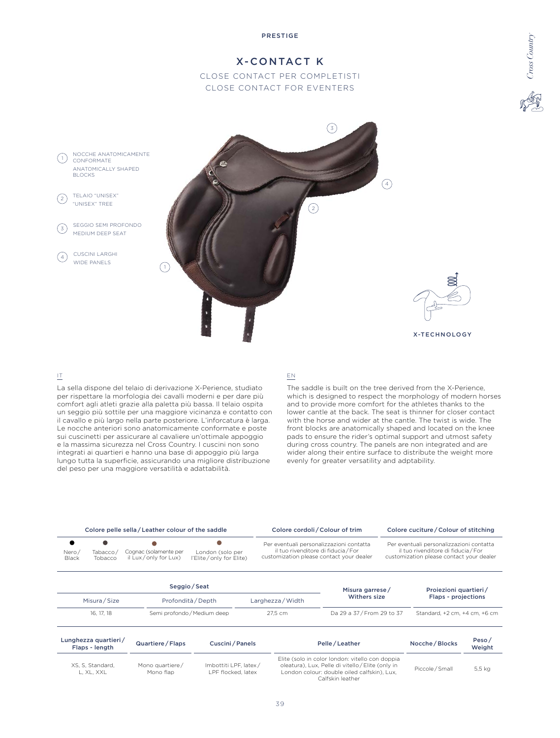# X-CONTACT K CLOSE CONTACT PER COMPLETISTI

CLOSE CONTACT FOR EVENTERS



## IT

La sella dispone del telaio di derivazione X-Perience, studiato per rispettare la morfologia dei cavalli moderni e per dare più comfort agli atleti grazie alla paletta più bassa. Il telaio ospita un seggio più sottile per una maggiore vicinanza e contatto con il cavallo e più largo nella parte posteriore. L'inforcatura è larga. Le nocche anteriori sono anatomicamente conformate e poste sui cuscinetti per assicurare al cavaliere un'ottimale appoggio e la massima sicurezza nel Cross Country. I cuscini non sono integrati ai quartieri e hanno una base di appoggio più larga lungo tutta la superficie, assicurando una migliore distribuzione del peso per una maggiore versatilità e adattabilità.

## EN

The saddle is built on the tree derived from the X-Perience, which is designed to respect the morphology of modern horses and to provide more comfort for the athletes thanks to the lower cantle at the back. The seat is thinner for closer contact with the horse and wider at the cantle. The twist is wide. The front blocks are anatomically shaped and located on the knee pads to ensure the rider's optimal support and utmost safety during cross country. The panels are non integrated and are wider along their entire surface to distribute the weight more evenly for greater versatility and adptability.

*Cross Country*

|                       |                                                                                                                     | Colore pelle sella / Leather colour of the saddle |                    | Colore cordoli / Colour of trim                                                                                             |                 | Colore cuciture / Colour of stitching                                                                                       |                       |  |
|-----------------------|---------------------------------------------------------------------------------------------------------------------|---------------------------------------------------|--------------------|-----------------------------------------------------------------------------------------------------------------------------|-----------------|-----------------------------------------------------------------------------------------------------------------------------|-----------------------|--|
| Nero/<br><b>Black</b> | Cognac (solamente per<br>London (solo per<br>Tabacco,<br>il Lux/only for Lux)<br>l'Elite/only for Elite)<br>Tobacco |                                                   |                    | Per eventuali personalizzazioni contatta<br>il tuo rivenditore di fiducia / For<br>customization please contact your dealer |                 | Per eventuali personalizzazioni contatta<br>il tuo rivenditore di fiducia / For<br>customization please contact your dealer |                       |  |
|                       |                                                                                                                     |                                                   | Seggio / Seat      |                                                                                                                             | Misura garrese/ |                                                                                                                             | Proiezioni quartieri/ |  |
|                       | Misura / Size                                                                                                       |                                                   | Profondità / Depth |                                                                                                                             | Withers size    |                                                                                                                             | Flaps - projections   |  |
| 16, 17, 18            |                                                                                                                     | Semi profondo / Medium deep<br>27.5 cm            |                    | Da 29 a 37 / From 29 to 37                                                                                                  |                 | Standard, +2 cm, +4 cm, +6 cm                                                                                               |                       |  |

| Lunghezza quartieri/<br>Flaps - length | Quartiere / Flaps            | Cuscini/Panels                              | Pelle/Leather                                                                                                                                                           | Nocche / Blocks | Peso/<br>Weight |  |
|----------------------------------------|------------------------------|---------------------------------------------|-------------------------------------------------------------------------------------------------------------------------------------------------------------------------|-----------------|-----------------|--|
| XS. S. Standard.<br>L. XL. XXL         | Mono quartiere/<br>Mono flap | Imbottiti LPF. latex/<br>LPF flocked, latex | Elite (solo in color london: vitello con doppia<br>oleatura), Lux, Pelle di vitello / Elite (only in<br>London colour: double oiled calfskin). Lux.<br>Calfskin leather | Piccole / Small | 5,5 kg          |  |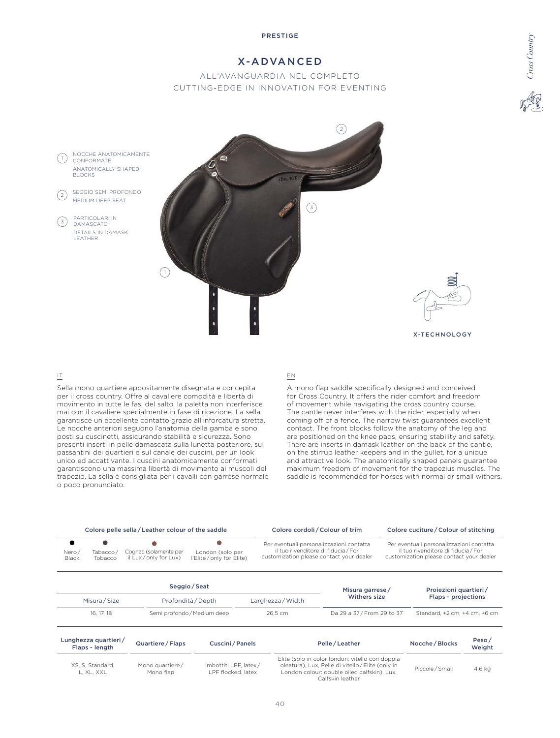# X-ADVANCED

# ALL'AVANGUARDIA NEL COMPLETO CUTTING-EDGE IN INNOVATION FOR EVENTING



#### IT

Sella mono quartiere appositamente disegnata e concepita per il cross country. Offre al cavaliere comodità e libertà di movimento in tutte le fasi del salto, la paletta non interferisce mai con il cavaliere specialmente in fase di ricezione. La sella garantisce un eccellente contatto grazie all'inforcatura stretta. Le nocche anteriori seguono l'anatomia della gamba e sono posti su cuscinetti, assicurando stabilità e sicurezza. Sono presenti inserti in pelle damascata sulla lunetta posteriore, sui passantini dei quartieri e sul canale dei cuscini, per un look unico ed accattivante. I cuscini anatomicamente conformati garantiscono una massima libertà di movimento ai muscoli del trapezio. La sella è consigliata per i cavalli con garrese normale o poco pronunciato.

#### EN

A mono flap saddle specifically designed and conceived for Cross Country. It offers the rider comfort and freedom of movement while navigating the cross country course. The cantle never interferes with the rider, especially when coming off of a fence. The narrow twist guarantees excellent contact. The front blocks follow the anatomy of the leg and are positioned on the knee pads, ensuring stability and safety. There are inserts in damask leather on the back of the cantle, on the stirrup leather keepers and in the gullet, for a unique and attractive look. The anatomically shaped panels guarantee maximum freedom of movement for the trapezius muscles. The saddle is recommended for horses with normal or small withers. *Cross Country*

|                             |                                                                                                                     | Colore pelle sella / Leather colour of the saddle |                                     | Colore cordoli / Colour of trim |                                                                                                                                                                                                                                                            |  | Colore cuciture / Colour of stitching        |                 |  |
|-----------------------------|---------------------------------------------------------------------------------------------------------------------|---------------------------------------------------|-------------------------------------|---------------------------------|------------------------------------------------------------------------------------------------------------------------------------------------------------------------------------------------------------------------------------------------------------|--|----------------------------------------------|-----------------|--|
| $\bullet$<br>Nero/<br>Black | Cognac (solamente per<br>Tabacco/<br>London (solo per<br>il Lux/only for Lux)<br>l'Elite/only for Elite)<br>Tobacco |                                                   |                                     |                                 | Per eventuali personalizzazioni contatta<br>Per eventuali personalizzazioni contatta<br>il tuo rivenditore di fiducia / For<br>il tuo rivenditore di fiducia / For<br>customization please contact your dealer<br>customization please contact your dealer |  |                                              |                 |  |
|                             | Misura / Size                                                                                                       |                                                   | Seggio / Seat<br>Profondità / Depth | Larghezza / Width               | Misura garrese/<br>Withers size                                                                                                                                                                                                                            |  | Proiezioni quartieri/<br>Flaps - projections |                 |  |
|                             | 16, 17, 18                                                                                                          |                                                   | Semi profondo / Medium deep         | 26.5 cm                         | Da 29 a 37 / From 29 to 37                                                                                                                                                                                                                                 |  | Standard, +2 cm, +4 cm, +6 cm                |                 |  |
|                             | Lunghezza quartieri/<br>Flaps - length                                                                              | Quartiere / Flaps                                 | Cuscini/Panels                      |                                 | Pelle / Leather                                                                                                                                                                                                                                            |  | Nocche / Blocks                              | Peso/<br>Weight |  |

| Flaps - length                 | $x$ uurticic $7$ i lups      | $\sim$ uschili i uncis                      | .                                                                                                                                                                       | 1100            | Weight |
|--------------------------------|------------------------------|---------------------------------------------|-------------------------------------------------------------------------------------------------------------------------------------------------------------------------|-----------------|--------|
| XS. S. Standard.<br>l. XL. XXL | Mono quartiere/<br>Mono flap | Imbottiti LPF. latex/<br>LPF flocked. latex | Elite (solo in color london: vitello con doppia<br>oleatura), Lux, Pelle di vitello / Elite (only in<br>London colour: double oiled calfskin). Lux.<br>Calfskin leather | Piccole / Small | 4,6 kg |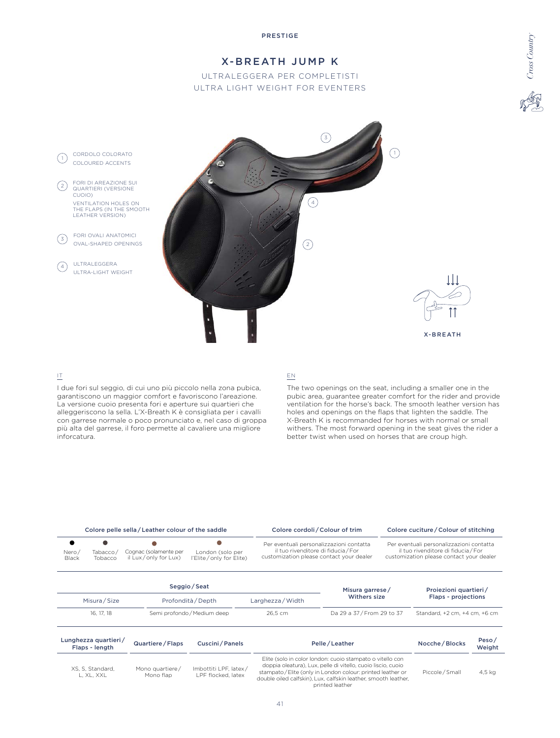

### IT

I due fori sul seggio, di cui uno più piccolo nella zona pubica, garantiscono un maggior comfort e favoriscono l'areazione. La versione cuoio presenta fori e aperture sui quartieri che alleggeriscono la sella. L'X-Breath K è consigliata per i cavalli con garrese normale o poco pronunciato e, nel caso di groppa più alta del garrese, il foro permette al cavaliere una migliore inforcatura.

# EN

The two openings on the seat, including a smaller one in the pubic area, guarantee greater comfort for the rider and provide ventilation for the horse's back. The smooth leather version has holes and openings on the flaps that lighten the saddle. The X-Breath K is recommanded for horses with normal or small withers. The most forward opening in the seat gives the rider a better twist when used on horses that are croup high.

| Colore pelle sella / Leather colour of the saddle |                                                                                                                     |  |                             |                                                                                                                             | Colore cordoli / Colour of trim | Colore cuciture / Colour of stitching                                                                                       |                               |  |
|---------------------------------------------------|---------------------------------------------------------------------------------------------------------------------|--|-----------------------------|-----------------------------------------------------------------------------------------------------------------------------|---------------------------------|-----------------------------------------------------------------------------------------------------------------------------|-------------------------------|--|
| Nero/<br>Black                                    | Cognac (solamente per<br>London (solo per<br>Tabacco/<br>il Lux/only for Lux)<br>l'Elite/only for Elite)<br>Tobacco |  |                             | Per eventuali personalizzazioni contatta<br>il tuo rivenditore di fiducia / For<br>customization please contact your dealer |                                 | Per eventuali personalizzazioni contatta<br>il tuo rivenditore di fiducia / For<br>customization please contact your dealer |                               |  |
|                                                   |                                                                                                                     |  | Seggio / Seat               |                                                                                                                             | Misura garrese/                 |                                                                                                                             | Projezioni quartieri/         |  |
| Misura / Size                                     |                                                                                                                     |  | Profondità / Depth          |                                                                                                                             | Withers size                    |                                                                                                                             | Flaps - projections           |  |
| 16, 17, 18                                        |                                                                                                                     |  | Semi profondo / Medium deep |                                                                                                                             | Da 29 a 37 / From 29 to 37      |                                                                                                                             | Standard, +2 cm, +4 cm, +6 cm |  |

| Lunghezza quartieri/<br>Flaps - length | Quartiere / Flaps<br>Cuscini / Panels |                                             | Pelle / Leather                                                                                                                                                                                                                                                               | Nocche / Blocks | Peso/<br>Weight |
|----------------------------------------|---------------------------------------|---------------------------------------------|-------------------------------------------------------------------------------------------------------------------------------------------------------------------------------------------------------------------------------------------------------------------------------|-----------------|-----------------|
| XS, S, Standard,<br>l. XL. XXL         | Mono quartiere/<br>Mono flap          | Imbottiti LPF, latex/<br>LPF flocked, latex | Elite (solo in color london: cuoio stampato o vitello con<br>doppia oleatura), Lux, pelle di vitello, cuoio liscio, cuoio<br>stampato / Elite (only in London colour: printed leather or<br>double oiled calfskin), Lux, calfskin leather, smooth leather,<br>printed leather | Piccole / Small | 4.5 kg          |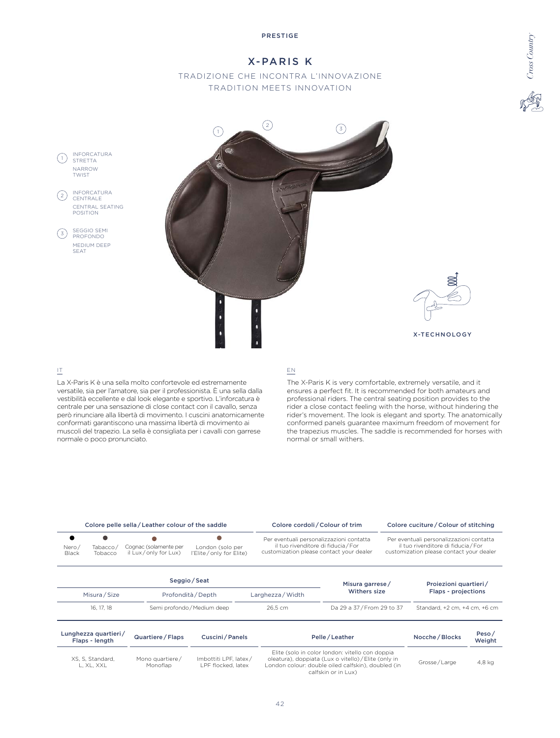# X-PARIS K

# TRADIZIONE CHE INCONTRA L'INNOVAZIONE TRADITION MEETS INNOVATION



## IT

La X-Paris K è una sella molto confortevole ed estremamente versatile, sia per l'amatore, sia per il professionista. È una sella dalla vestibilità eccellente e dal look elegante e sportivo. L'inforcatura è centrale per una sensazione di close contact con il cavallo, senza però rinunciare alla libertà di movimento. I cuscini anatomicamente conformati garantiscono una massima libertà di movimento ai muscoli del trapezio. La sella è consigliata per i cavalli con garrese normale o poco pronunciato.

### EN

The X-Paris K is very comfortable, extremely versatile, and it ensures a perfect fit. It is recommended for both amateurs and professional riders. The central seating position provides to the rider a close contact feeling with the horse, without hindering the rider's movement. The look is elegant and sporty. The anatomically conformed panels guarantee maximum freedom of movement for the trapezius muscles. The saddle is recommended for horses with normal or small withers.

 $C$ ross Country *Cross Country*

|                                                                                                              |                                                                                                                       | Colore pelle sella / Leather colour of the saddle                                                                                                                                    | Colore cordoli / Colour of trim   |              |                                                                                                                             | Colore cuciture / Colour of stitching |                                                                                                                             |                 |
|--------------------------------------------------------------------------------------------------------------|-----------------------------------------------------------------------------------------------------------------------|--------------------------------------------------------------------------------------------------------------------------------------------------------------------------------------|-----------------------------------|--------------|-----------------------------------------------------------------------------------------------------------------------------|---------------------------------------|-----------------------------------------------------------------------------------------------------------------------------|-----------------|
| $\bullet$<br>Nero/<br>Black                                                                                  | Cognac (solamente per<br>London (solo per<br>Tabacco/<br>il Lux/only for Lux)<br>l'Elite / only for Elite)<br>Tobacco |                                                                                                                                                                                      |                                   |              | Per eventuali personalizzazioni contatta<br>il tuo rivenditore di fiducia / For<br>customization please contact your dealer |                                       | Per eventuali personalizzazioni contatta<br>il tuo rivenditore di fiducia / For<br>customization please contact your dealer |                 |
|                                                                                                              |                                                                                                                       |                                                                                                                                                                                      | Seggio/Seat                       |              | Misura garrese/                                                                                                             |                                       | Proiezioni quartieri/                                                                                                       |                 |
|                                                                                                              | Misura / Size<br>Profondità / Depth                                                                                   |                                                                                                                                                                                      | Withers size<br>Larghezza / Width |              | Flaps - projections                                                                                                         |                                       |                                                                                                                             |                 |
|                                                                                                              | 16, 17, 18                                                                                                            |                                                                                                                                                                                      | Semi profondo / Medium deep       | 26.5 cm      | Da 29 a 37/From 29 to 37                                                                                                    |                                       | Standard, +2 cm, +4 cm, +6 cm                                                                                               |                 |
|                                                                                                              | Lunghezza quartieri/<br>Flaps - length                                                                                | Quartiere / Flaps                                                                                                                                                                    | Cuscini / Panels                  |              | Pelle / Leather                                                                                                             |                                       | Nocche / Blocks                                                                                                             | Peso/<br>Weight |
| Mono quartiere/<br>Imbottiti LPF, latex/<br>XS, S, Standard,<br>Monoflap<br>LPF flocked, latex<br>L, XL, XXL |                                                                                                                       | Elite (solo in color london: vitello con doppia<br>oleatura), doppiata (Lux o vitello) / Elite (only in<br>London colour: double oiled calfskin), doubled (in<br>calfskin or in Lux) |                                   | Grosse/Large | 4,8 kg                                                                                                                      |                                       |                                                                                                                             |                 |